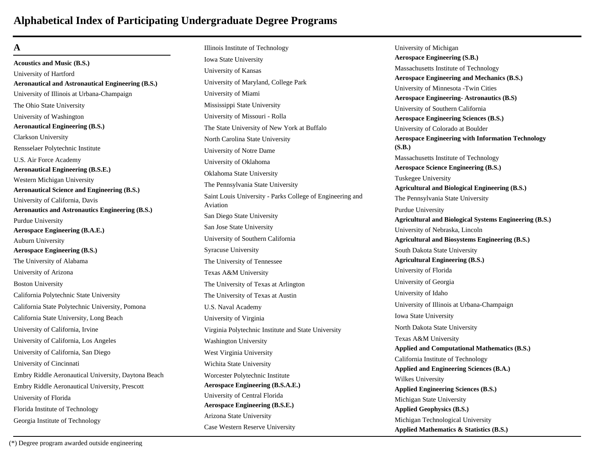#### **A**

**Acoustics and Music (B.S.)** University of Hartford **Aeronautical and Astronautical Engineering (B.S.)** University of Illinois at Urbana-Champaign The Ohio State University University of Washington **Aeronautical Engineering (B.S.)** Clarkson University Rensselaer Polytechnic Institute U.S. Air Force Academy **Aeronautical Engineering (B.S.E.)** Western Michigan University **Aeronautical Science and Engineering (B.S.)** University of California, Davis **Aeronautics and Astronautics Engineering (B.S.)** Purdue University **Aerospace Engineering (B.A.E.)** Auburn University **Aerospace Engineering (B.S.)** The University of Alabama University of Arizona Boston University California Polytechnic State University California State Polytechnic University, Pomona California State University, Long Beach University of California, Irvine University of California, Los Angeles University of California, San Diego University of Cincinnati Embry Riddle Aeronautical University, Daytona Beach Embry Riddle Aeronautical University, Prescott University of Florida Florida Institute of Technology Georgia Institute of Technology

Illinois Institute of Technology Iowa State University University of Kansas University of Maryland, College Park University of Miami Mississippi State University University of Missouri - Rolla The State University of New York at Buffalo North Carolina State University University of Notre Dame University of Oklahoma Oklahoma State University The Pennsylvania State University Saint Louis University - Parks College of Engineering and Aviation San Diego State University San Jose State University University of Southern California Syracuse University The University of Tennessee Texas A&M University The University of Texas at Arlington The University of Texas at Austin U.S. Naval Academy University of Virginia Virginia Polytechnic Institute and State University Washington University West Virginia University Wichita State University Worcester Polytechnic Institute **Aerospace Engineering (B.S.A.E.)** University of Central Florida **Aerospace Engineering (B.S.E.)** Arizona State University Case Western Reserve University

University of Michigan **Aerospace Engineering (S.B.)** Massachusetts Institute of Technology **Aerospace Engineering and Mechanics (B.S.)** University of Minnesota -Twin Cities **Aerospace Engineering- Astronautics (B.S)** University of Southern California **Aerospace Engineering Sciences (B.S.)** University of Colorado at Boulder **Aerospace Engineering with Information Technology (S.B.)** Massachusetts Institute of Technology **Aerospace Science Engineering (B.S.)** Tuskegee University **Agricultural and Biological Engineering (B.S.)** The Pennsylvania State University Purdue University **Agricultural and Biological Systems Engineering (B.S.)** University of Nebraska, Lincoln **Agricultural and Biosystems Engineering (B.S.)** South Dakota State University **Agricultural Engineering (B.S.)** University of Florida University of Georgia University of Idaho University of Illinois at Urbana-Champaign Iowa State University North Dakota State University Texas A&M University **Applied and Computational Mathematics (B.S.)** California Institute of Technology **Applied and Engineering Sciences (B.A.)** Wilkes University **Applied Engineering Sciences (B.S.)** Michigan State University **Applied Geophysics (B.S.)** Michigan Technological University **Applied Mathematics & Statistics (B.S.)**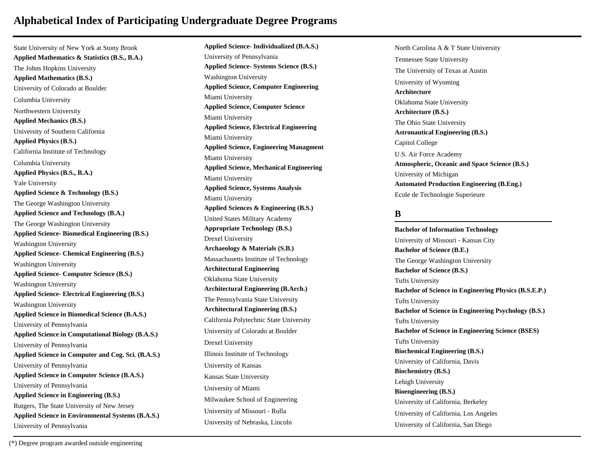State University of New York at Stony Brook **Applied Mathematics & Statistics (B.S., B.A.)** The Johns Hopkins University **Applied Mathematics (B.S.)** University of Colorado at Boulder Columbia University Northwestern University **Applied Mechanics (B.S.)** University of Southern California **Applied Physics (B.S.)** California Institute of Technology Columbia University **Applied Physics (B.S., B.A.)** Yale University **Applied Science & Technology (B.S.)** The George Washington University **Applied Science and Technology (B.A.)** The George Washington University **Applied Science- Biomedical Engineering (B.S.)** Washington University **Applied Science- Chemical Engineering (B.S.)** Washington University **Applied Science- Computer Science (B.S.)** Washington University **Applied Science- Electrical Engineering (B.S.)** Washington University **Applied Science in Biomedical Science (B.A.S.)** University of Pennsylvania **Applied Science in Computational Biology (B.A.S.)** University of Pennsylvania **Applied Science in Computer and Cog. Sci. (B.A.S.)** University of Pennsylvania **Applied Science in Computer Science (B.A.S.)** University of Pennsylvania **Applied Science in Engineering (B.S.)** Rutgers, The State University of New Jersey **Applied Science in Environmental Systems (B.A.S.)** University of Pennsylvania

**Applied Science- Individualized (B.A.S.)** University of Pennsylvania **Applied Science- Systems Science (B.S.)** Washington University **Applied Science, Computer Engineering** Miami University **Applied Science, Computer Science** Miami University **Applied Science, Electrical Engineering** Miami University **Applied Science, Engineering Managment** Miami University **Applied Science, Mechanical Engineering** Miami University **Applied Science, Systems Analysis** Miami University **Applied Sciences & Engineering (B.S.)** United States Military Academy **Appropriate Technology (B.S.)** Drexel University **Archaeology & Materials (S.B.)** Massachusetts Institute of Technology **Architectural Engineering** Oklahoma State University **Architectural Engineering (B.Arch.)** The Pennsylvania State University **Architectural Engineering (B.S.)** California Polytechnic State University University of Colorado at Boulder Drexel University Illinois Institute of Technology University of Kansas Kansas State University University of Miami Milwaukee School of Engineering University of Missouri - Rolla University of Nebraska, Lincoln

North Carolina A & T State University Tennessee State University The University of Texas at Austin University of Wyoming **Architecture** Oklahoma State University **Architecture (B.S.)** The Ohio State University **Astronautical Engineering (B.S.)** Capitol College U.S. Air Force Academy **Atmospheric, Oceanic and Space Science (B.S.)** University of Michigan **Automated Production Engineering (B.Eng.)** Ecole de Technologie Superieure

#### **B**

**Bachelor of Information Technology** University of Missouri - Kansas City **Bachelor of Science (B.E.)** The George Washington University **Bachelor of Science (B.S.)** Tufts University **Bachelor of Science in Engineering Physics (B.S.E.P.)** Tufts University **Bachelor of Science in Engineering Psychology (B.S.)** Tufts University **Bachelor of Science in Engineering Science (BSES)** Tufts University **Biochemical Engineering (B.S.)** University of California, Davis **Biochemistry (B.S.)** Lehigh University **Bioengineering (B.S.)** University of California, Berkeley University of California, Los Angeles University of California, San Diego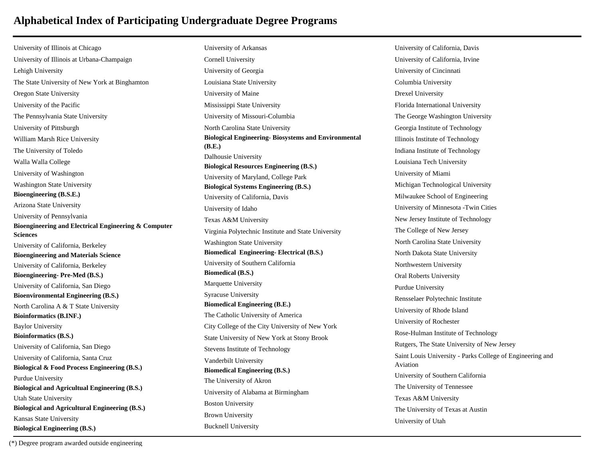University of Illinois at Chicago University of Illinois at Urbana-Champaign Lehigh University The State University of New York at Binghamton Oregon State University University of the Pacific The Pennsylvania State University University of Pittsburgh William Marsh Rice University The University of Toledo Walla Walla College University of Washington Washington State University **Bioengineering (B.S.E.)** Arizona State University University of Pennsylvania **Bioengineering and Electrical Engineering & Computer Sciences** University of California, Berkeley **Bioengineering and Materials Science** University of California, Berkeley **Bioengineering- Pre-Med (B.S.)** University of California, San Diego **Bioenvironmental Engineering (B.S.)** North Carolina A & T State University **Bioinformatics (B.INF.)** Baylor University **Bioinformatics (B.S.)** University of California, San Diego University of California, Santa Cruz **Biological & Food Process Engineering (B.S.)** Purdue University **Biological and Agricultual Engineering (B.S.)** Utah State University **Biological and Agricultural Engineering (B.S.)** Kansas State University **Biological Engineering (B.S.)**

University of Arkansas Cornell University University of Georgia Louisiana State University University of Maine Mississippi State University University of Missouri-Columbia North Carolina State University **Biological Engineering- Biosystems and Environmental (B.E.)** Dalhousie University **Biological Resources Engineering (B.S.)** University of Maryland, College Park **Biological Systems Engineering (B.S.)** University of California, Davis University of Idaho Texas A&M University Virginia Polytechnic Institute and State University Washington State University **Biomedical Engineering- Electrical (B.S.)** University of Southern California **Biomedical (B.S.)** Marquette University Syracuse University **Biomedical Engineering (B.E.)** The Catholic University of America City College of the City University of New York State University of New York at Stony Brook Stevens Institute of Technology Vanderbilt University **Biomedical Engineering (B.S.)** The University of Akron University of Alabama at Birmingham Boston University Brown University Bucknell University

University of California, Davis University of California, Irvine University of Cincinnati Columbia University Drexel University Florida International University The George Washington University Georgia Institute of Technology Illinois Institute of Technology Indiana Institute of Technology Louisiana Tech University University of Miami Michigan Technological University Milwaukee School of Engineering University of Minnesota -Twin Cities New Jersey Institute of Technology The College of New Jersey North Carolina State University North Dakota State University Northwestern University Oral Roberts University Purdue University Rensselaer Polytechnic Institute University of Rhode Island University of Rochester Rose-Hulman Institute of Technology Rutgers, The State University of New Jersey Saint Louis University - Parks College of Engineering and Aviation University of Southern California The University of Tennessee Texas A&M University The University of Texas at Austin University of Utah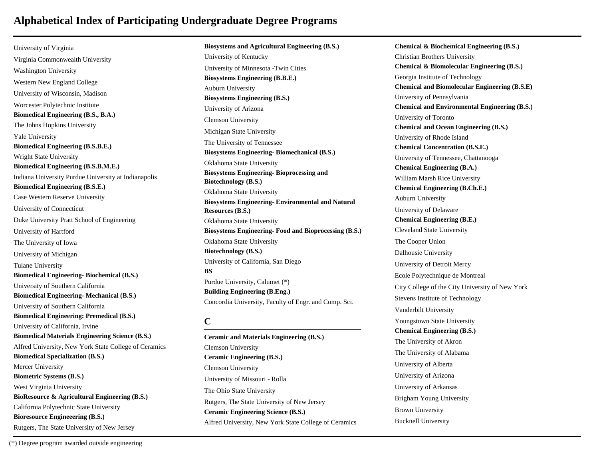University of Virginia Virginia Commonwealth University Washington University Western New England College University of Wisconsin, Madison Worcester Polytechnic Institute **Biomedical Engineering (B.S., B.A.)** The Johns Hopkins University Yale University **Biomedical Engineering (B.S.B.E.)** Wright State University **Biomedical Engineering (B.S.B.M.E.)** Indiana University Purdue University at Indianapolis **Biomedical Engineering (B.S.E.)** Case Western Reserve University University of Connecticut Duke University Pratt School of Engineering University of Hartford The University of Iowa University of Michigan Tulane University **Biomedical Engineering- Biochemical (B.S.)** University of Southern California **Biomedical Engineering- Mechanical (B.S.)** University of Southern California **Biomedical Engineering: Premedical (B.S.)** University of California, Irvine **Biomedical Materials Engineering Science (B.S.)** Alfred University, New York State College of Ceramics **Biomedical Specialization (B.S.)** Mercer University **Biometric Systems (B.S.)** West Virginia University **BioResource & Agricultural Engineering (B.S.)** California Polytechnic State University **Bioresource Engineeering (B.S.)** Rutgers, The State University of New Jersey

**Biosystems Engineering (B.B.E.)** Auburn University **Biosystems Engineering (B.S.)** University of Arizona Clemson University Michigan State University The University of Tennessee **Biosystems Engineering- Biomechanical (B.S.)** Oklahoma State University **Biosystems Engineering- Bioprocessing and Biotechnology (B.S.)** Oklahoma State University **Biosystems Engineering- Environmental and Natural Resources (B.S.)** Oklahoma State University **Biosystems Engineering- Food and Bioprocessing (B.S.)** Oklahoma State University **Biotechnology (B.S.)** University of California, San Diego **BS** Purdue University, Calumet (\*) **Building Engineering (B.Eng.)** Concordia University, Faculty of Engr. and Comp. Sci. **C Ceramic and Materials Engineering (B.S.)** Clemson University

**Ceramic Engineering (B.S.)**

University of Missouri - Rolla The Ohio State University

Rutgers, The State University of New Jersey **Ceramic Engineering Science (B.S.)**

Clemson University

University of Kentucky

**Biosystems and Agricultural Engineering (B.S.)**

University of Minnesota -Twin Cities

Alfred University, New York State College of Ceramics **Chemical and Biomolecular Engineering (B.S.E)** University of Pennsylvania **Chemical and Environmental Engineering (B.S.)** University of Toronto **Chemical and Ocean Engineering (B.S.)** University of Rhode Island **Chemical Concentration (B.S.E.)** University of Tennessee, Chattanooga **Chemical Engineering (B.A.)** William Marsh Rice University **Chemical Engineering (B.Ch.E.)** Auburn University University of Delaware **Chemical Engineering (B.E.)** Cleveland State University The Cooper Union Dalhousie University University of Detroit Mercy Ecole Polytechnique de Montreal City College of the City University of New York Stevens Institute of Technology Vanderbilt University Youngstown State University **Chemical Engineering (B.S.)** The University of Akron The University of Alabama University of Alberta University of Arizona University of Arkansas Brigham Young University Brown University Bucknell University

**Chemical & Biochemical Engineering (B.S.)**

**Chemical & Biomolecular Engineering (B.S.)**

Christian Brothers University

Georgia Institute of Technology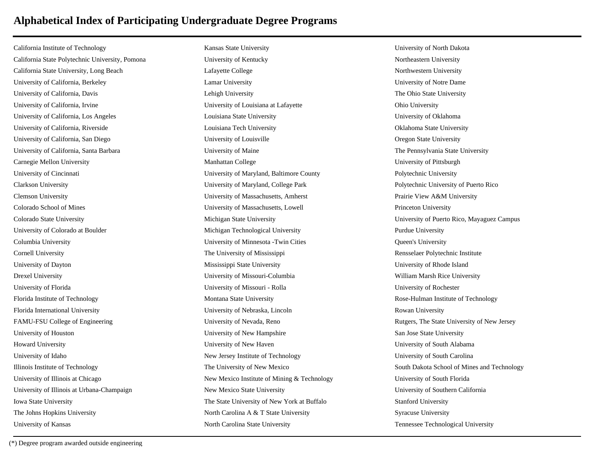California Institute of Technology California State Polytechnic University, Pomona California State University, Long Beach University of California, Berkeley University of California, Davis University of California, Irvine University of California, Los Angeles University of California, Riverside University of California, San Diego University of California, Santa Barbara Carnegie Mellon University University of Cincinnati Clarkson University Clemson University Colorado School of Mines Colorado State University University of Colorado at Boulder Columbia University Cornell University University of Dayton Drexel University University of Florida Florida Institute of Technology Florida International University FAMU-FSU College of Engineering University of Houston Howard University University of Idaho Illinois Institute of Technology University of Illinois at Chicago University of Illinois at Urbana-Champaign Iowa State University The Johns Hopkins University University of Kansas

Kansas State University University of Kentucky Lafayette College Lamar University Lehigh University University of Louisiana at Lafayette Louisiana State University Louisiana Tech University University of Louisville University of Maine Manhattan College University of Maryland, Baltimore County University of Maryland, College Park University of Massachusetts, Amherst University of Massachusetts, Lowell Michigan State University Michigan Technological University University of Minnesota -Twin Cities The University of Mississippi Mississippi State University University of Missouri-Columbia University of Missouri - Rolla Montana State University University of Nebraska, Lincoln University of Nevada, Reno University of New Hampshire University of New Haven New Jersey Institute of Technology The University of New Mexico New Mexico Institute of Mining & Technology New Mexico State University The State University of New York at Buffalo North Carolina A & T State University North Carolina State University

University of North Dakota Northeastern University Northwestern University University of Notre Dame The Ohio State University Ohio University University of Oklahoma Oklahoma State University Oregon State University The Pennsylvania State University University of Pittsburgh Polytechnic University Polytechnic University of Puerto Rico Prairie View A&M University Princeton University University of Puerto Rico, Mayaguez Campus Purdue University Queen's University Rensselaer Polytechnic Institute University of Rhode Island William Marsh Rice University University of Rochester Rose-Hulman Institute of Technology Rowan University Rutgers, The State University of New Jersey San Jose State University University of South Alabama University of South Carolina South Dakota School of Mines and Technology University of South Florida University of Southern California Stanford University Syracuse University Tennessee Technological University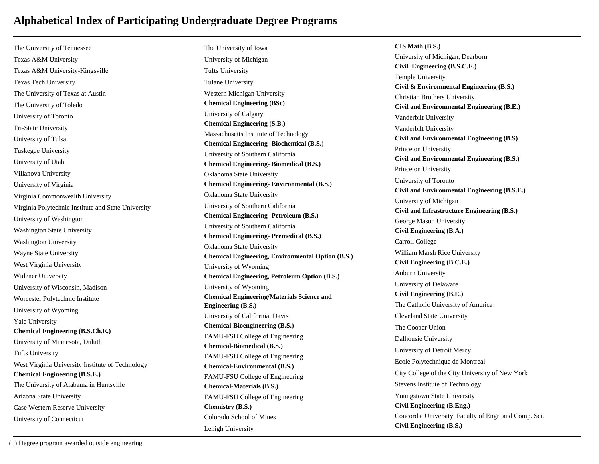The University of Tennessee Texas A&M University Texas A&M University-Kingsville Texas Tech University The University of Texas at Austin The University of Toledo University of Toronto Tri-State University University of Tulsa Tuskegee University University of Utah Villanova University University of Virginia Virginia Commonwealth University Virginia Polytechnic Institute and State University University of Washington Washington State University Washington University Wayne State University West Virginia University Widener University University of Wisconsin, Madison Worcester Polytechnic Institute University of Wyoming Yale University **Chemical Engineering (B.S.Ch.E.)** University of Minnesota, Duluth Tufts University West Virginia University Institute of Technology **Chemical Engineering (B.S.E.)** The University of Alabama in Huntsville Arizona State University Case Western Reserve University University of Connecticut

The University of Iowa University of Michigan Tufts University Tulane University Western Michigan University **Chemical Engineering (BSc)** University of Calgary **Chemical Engineering (S.B.)** Massachusetts Institute of Technology **Chemical Engineering- Biochemical (B.S.)** University of Southern California **Chemical Engineering- Biomedical (B.S.)** Oklahoma State University **Chemical Engineering- Environmental (B.S.)** Oklahoma State University University of Southern California **Chemical Engineering- Petroleum (B.S.)** University of Southern California **Chemical Engineering- Premedical (B.S.)** Oklahoma State University **Chemical Engineering, Environmental Option (B.S.)** University of Wyoming **Chemical Engineering, Petroleum Option (B.S.)** University of Wyoming **Chemical Engineering/Materials Science and Engineering (B.S.)** University of California, Davis **Chemical-Bioengineering (B.S.)** FAMU-FSU College of Engineering **Chemical-Biomedical (B.S.)** FAMU-FSU College of Engineering **Chemical-Environmental (B.S.)** FAMU-FSU College of Engineering **Chemical-Materials (B.S.)** FAMU-FSU College of Engineering **Chemistry (B.S.)** Colorado School of Mines Lehigh University

**CIS Math (B.S.)** University of Michigan, Dearborn **Civil Engineering (B.S.C.E.)** Temple University **Civil & Environmental Engineering (B.S.)** Christian Brothers University **Civil and Environmental Engineering (B.E.)** Vanderbilt University Vanderbilt University **Civil and Environmental Engineering (B.S)** Princeton University **Civil and Environmental Engineering (B.S.)** Princeton University University of Toronto **Civil and Environmental Engineering (B.S.E.)** University of Michigan **Civil and Infrastructure Engineering (B.S.)** George Mason University **Civil Engineering (B.A.)** Carroll College William Marsh Rice University **Civil Engineering (B.C.E.)** Auburn University University of Delaware **Civil Engineering (B.E.)** The Catholic University of America Cleveland State University The Cooper Union Dalhousie University University of Detroit Mercy Ecole Polytechnique de Montreal City College of the City University of New York Stevens Institute of Technology Youngstown State University **Civil Engineering (B.Eng.)** Concordia University, Faculty of Engr. and Comp. Sci. **Civil Engineering (B.S.)**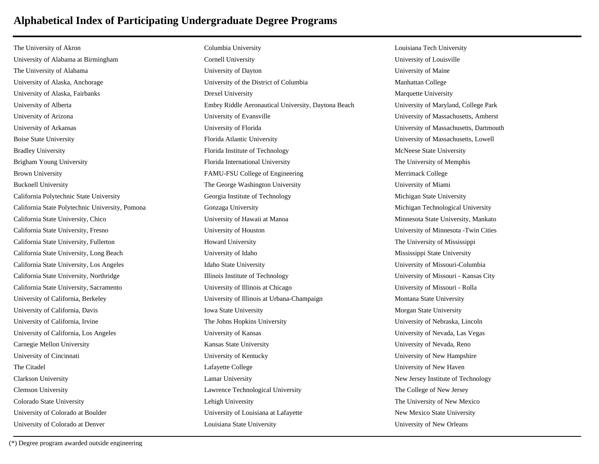The University of Akron University of Alabama at Birmingham The University of Alabama University of Alaska, Anchorage University of Alaska, Fairbanks University of Alberta University of Arizona University of Arkansas Boise State University Bradley University Brigham Young University Brown University Bucknell University California Polytechnic State University California State Polytechnic University, Pomona California State University, Chico California State University, Fresno California State University, Fullerton California State University, Long Beach California State University, Los Angeles California State University, Northridge California State University, Sacramento University of California, Berkeley University of California, Davis University of California, Irvine University of California, Los Angeles Carnegie Mellon University University of Cincinnati The Citadel Clarkson University Clemson University Colorado State University University of Colorado at Boulder University of Colorado at Denver

Columbia University Cornell University University of Dayton University of the District of Columbia Drexel University Embry Riddle Aeronautical University, Daytona Beach University of Evansville University of Florida Florida Atlantic University Florida Institute of Technology Florida International University FAMU-FSU College of Engineering The George Washington University Georgia Institute of Technology Gonzaga University University of Hawaii at Manoa University of Houston Howard University University of Idaho Idaho State University Illinois Institute of Technology University of Illinois at Chicago University of Illinois at Urbana-Champaign Iowa State University The Johns Hopkins University University of Kansas Kansas State University University of Kentucky Lafayette College Lamar University Lawrence Technological University Lehigh University University of Louisiana at Lafayette Louisiana State University

Louisiana Tech University University of Louisville University of Maine Manhattan College Marquette University University of Maryland, College Park University of Massachusetts, Amherst University of Massachusetts, Dartmouth University of Massachusetts, Lowell McNeese State University The University of Memphis Merrimack College University of Miami Michigan State University Michigan Technological University Minnesota State University, Mankato University of Minnesota -Twin Cities The University of Mississippi Mississippi State University University of Missouri-Columbia University of Missouri - Kansas City University of Missouri - Rolla Montana State University Morgan State University University of Nebraska, Lincoln University of Nevada, Las Vegas University of Nevada, Reno University of New Hampshire University of New Haven New Jersey Institute of Technology The College of New Jersey The University of New Mexico New Mexico State University University of New Orleans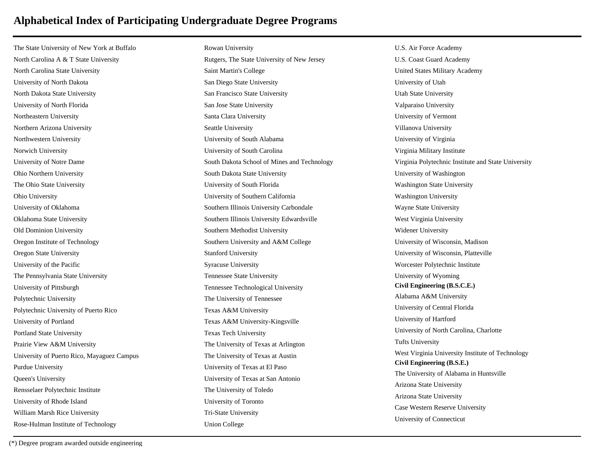The State University of New York at Buffalo North Carolina A & T State University North Carolina State University University of North Dakota North Dakota State University University of North Florida Northeastern University Northern Arizona University Northwestern University Norwich University University of Notre Dame Ohio Northern University The Ohio State University Ohio University University of Oklahoma Oklahoma State University Old Dominion University Oregon Institute of Technology Oregon State University University of the Pacific The Pennsylvania State University University of Pittsburgh Polytechnic University Polytechnic University of Puerto Rico University of Portland Portland State University Prairie View A&M University University of Puerto Rico, Mayaguez Campus Purdue University Queen's University Rensselaer Polytechnic Institute University of Rhode Island William Marsh Rice University Rose-Hulman Institute of Technology

Rowan University Rutgers, The State University of New Jersey Saint Martin's College San Diego State University San Francisco State University San Jose State University Santa Clara University Seattle University University of South Alabama University of South Carolina South Dakota School of Mines and Technology South Dakota State University University of South Florida University of Southern California Southern Illinois University Carbondale Southern Illinois University Edwardsville Southern Methodist University Southern University and A&M College Stanford University Syracuse University Tennessee State University Tennessee Technological University The University of Tennessee Texas A&M University Texas A&M University-Kingsville Texas Tech University The University of Texas at Arlington The University of Texas at Austin University of Texas at El Paso University of Texas at San Antonio The University of Toledo University of Toronto Tri-State University Union College

U.S. Air Force Academy U.S. Coast Guard Academy United States Military Academy University of Utah Utah State University Valparaiso University University of Vermont Villanova University University of Virginia Virginia Military Institute Virginia Polytechnic Institute and State University University of Washington Washington State University Washington University Wayne State University West Virginia University Widener University University of Wisconsin, Madison University of Wisconsin, Platteville Worcester Polytechnic Institute University of Wyoming **Civil Engineering (B.S.C.E.)** Alabama A&M University University of Central Florida University of Hartford University of North Carolina, Charlotte Tufts University West Virginia University Institute of Technology **Civil Engineering (B.S.E.)** The University of Alabama in Huntsville Arizona State University Arizona State University Case Western Reserve University University of Connecticut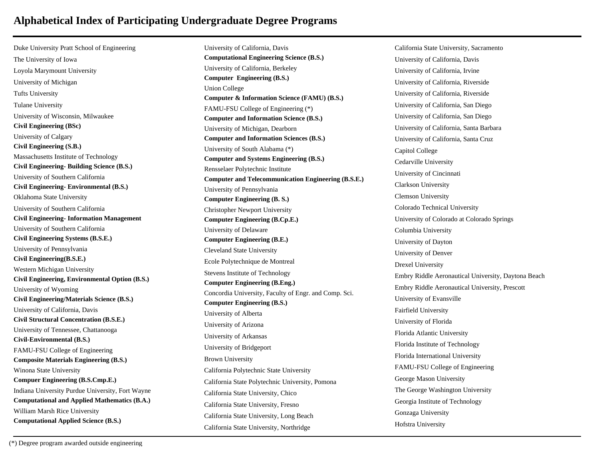Duke University Pratt School of Engineering The University of Iowa Loyola Marymount University University of Michigan Tufts University Tulane University University of Wisconsin, Milwaukee **Civil Engineering (BSc)** University of Calgary **Civil Engineering (S.B.)** Massachusetts Institute of Technology **Civil Engineering- Building Science (B.S.)** University of Southern California **Civil Engineering- Environmental (B.S.)** Oklahoma State University University of Southern California **Civil Engineering- Information Management** University of Southern California **Civil Engineering Systems (B.S.E.)** University of Pennsylvania **Civil Engineering(B.S.E.)** Western Michigan University **Civil Engineering, Environmental Option (B.S.)** University of Wyoming **Civil Engineering/Materials Science (B.S.)** University of California, Davis **Civil Structural Concentration (B.S.E.)** University of Tennessee, Chattanooga **Civil-Environmental (B.S.)** FAMU-FSU College of Engineering **Composite Materials Engineering (B.S.)** Winona State University **Compuer Engineering (B.S.Cmp.E.)** Indiana University Purdue University, Fort Wayne **Computational and Applied Mathematics (B.A.)** William Marsh Rice University **Computational Applied Science (B.S.)**

University of California, Davis **Computational Engineering Science (B.S.)** University of California, Berkeley **Computer Engineering (B.S.)** Union College **Computer & Information Science (FAMU) (B.S.)** FAMU-FSU College of Engineering (\*) **Computer and Information Science (B.S.)** University of Michigan, Dearborn **Computer and Information Sciences (B.S.)** University of South Alabama (\*) **Computer and Systems Engineering (B.S.)** Rensselaer Polytechnic Institute **Computer and Telecommunication Engineering (B.S.E.)** University of Pennsylvania **Computer Engineering (B. S.)** Christopher Newport University **Computer Engineering (B.Cp.E.)** University of Delaware **Computer Engineering (B.E.)** Cleveland State University Ecole Polytechnique de Montreal Stevens Institute of Technology **Computer Engineering (B.Eng.)** Concordia University, Faculty of Engr. and Comp. Sci. **Computer Engineering (B.S.)** University of Alberta University of Arizona University of Arkansas University of Bridgeport Brown University California Polytechnic State University California State Polytechnic University, Pomona California State University, Chico California State University, Fresno California State University, Long Beach California State University, Northridge

California State University, Sacramento University of California, Davis University of California, Irvine University of California, Riverside University of California, Riverside University of California, San Diego University of California, San Diego University of California, Santa Barbara University of California, Santa Cruz Capitol College Cedarville University University of Cincinnati Clarkson University Clemson University Colorado Technical University University of Colorado at Colorado Springs Columbia University University of Dayton University of Denver Drexel University Embry Riddle Aeronautical University, Daytona Beach Embry Riddle Aeronautical University, Prescott University of Evansville Fairfield University University of Florida Florida Atlantic University Florida Institute of Technology Florida International University FAMU-FSU College of Engineering George Mason University The George Washington University Georgia Institute of Technology Gonzaga University Hofstra University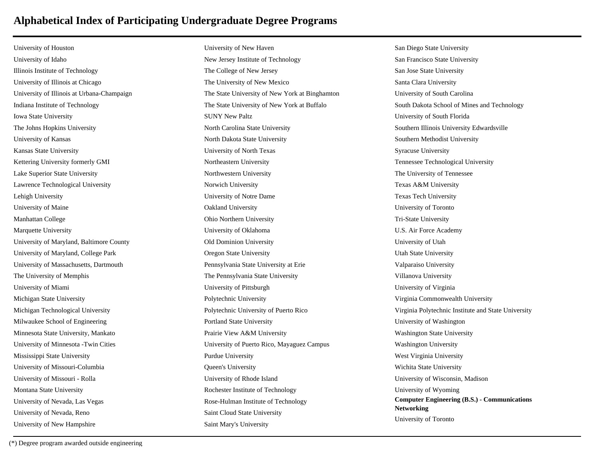University of Houston University of Idaho Illinois Institute of Technology University of Illinois at Chicago University of Illinois at Urbana-Champaign Indiana Institute of Technology Iowa State University The Johns Hopkins University University of Kansas Kansas State University Kettering University formerly GMI Lake Superior State University Lawrence Technological University Lehigh University University of Maine Manhattan College Marquette University University of Maryland, Baltimore County University of Maryland, College Park University of Massachusetts, Dartmouth The University of Memphis University of Miami Michigan State University Michigan Technological University Milwaukee School of Engineering Minnesota State University, Mankato University of Minnesota -Twin Cities Mississippi State University University of Missouri-Columbia University of Missouri - Rolla Montana State University University of Nevada, Las Vegas University of Nevada, Reno University of New Hampshire

University of New Haven New Jersey Institute of Technology The College of New Jersey The University of New Mexico The State University of New York at Binghamton The State University of New York at Buffalo SUNY New Paltz North Carolina State University North Dakota State University University of North Texas Northeastern University Northwestern University Norwich University University of Notre Dame Oakland University Ohio Northern University University of Oklahoma Old Dominion University Oregon State University Pennsylvania State University at Erie The Pennsylvania State University University of Pittsburgh Polytechnic University Polytechnic University of Puerto Rico Portland State University Prairie View A&M University University of Puerto Rico, Mayaguez Campus Purdue University Queen's University University of Rhode Island Rochester Institute of Technology Rose-Hulman Institute of Technology Saint Cloud State University Saint Mary's University

San Diego State University San Francisco State University San Jose State University Santa Clara University University of South Carolina South Dakota School of Mines and Technology University of South Florida Southern Illinois University Edwardsville Southern Methodist University Syracuse University Tennessee Technological University The University of Tennessee Texas A&M University Texas Tech University University of Toronto Tri-State University U.S. Air Force Academy University of Utah Utah State University Valparaiso University Villanova University University of Virginia Virginia Commonwealth University Virginia Polytechnic Institute and State University University of Washington Washington State University Washington University West Virginia University Wichita State University University of Wisconsin, Madison University of Wyoming **Computer Engineering (B.S.) - Communications Networking** University of Toronto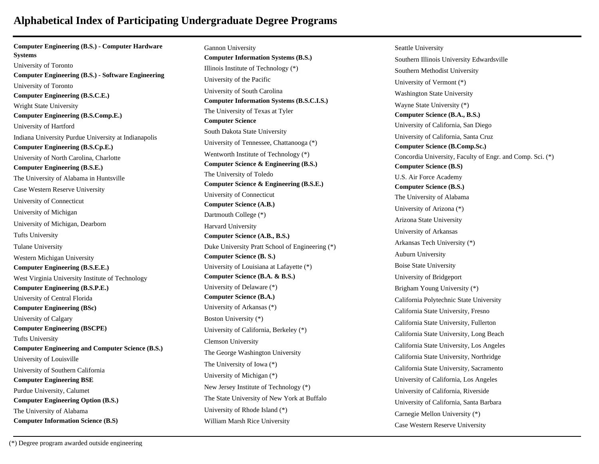**Computer Engineering (B.S.) - Computer Hardware Systems** University of Toronto **Computer Engineering (B.S.) - Software Engineering** University of Toronto **Computer Engineering (B.S.C.E.)** Wright State University **Computer Engineering (B.S.Comp.E.)** University of Hartford Indiana University Purdue University at Indianapolis **Computer Engineering (B.S.Cp.E.)** University of North Carolina, Charlotte **Computer Engineering (B.S.E.)** The University of Alabama in Huntsville Case Western Reserve University University of Connecticut University of Michigan University of Michigan, Dearborn Tufts University Tulane University Western Michigan University **Computer Engineering (B.S.E.E.)** West Virginia University Institute of Technology **Computer Engineering (B.S.P.E.)** University of Central Florida **Computer Engineering (BSc)** University of Calgary **Computer Engineering (BSCPE)** Tufts University **Computer Engineering and Computer Science (B.S.)** University of Louisville University of Southern California **Computer Engineering BSE** Purdue University, Calumet **Computer Engineering Option (B.S.)** The University of Alabama **Computer Information Science (B.S)**

Gannon University **Computer Information Systems (B.S.)** Illinois Institute of Technology (\*) University of the Pacific University of South Carolina **Computer Information Systems (B.S.C.I.S.)** The University of Texas at Tyler **Computer Science** South Dakota State University University of Tennessee, Chattanooga (\*) Wentworth Institute of Technology (\*) **Computer Science & Engineering (B.S.)** The University of Toledo **Computer Science & Engineering (B.S.E.)** University of Connecticut **Computer Science (A.B.)** Dartmouth College (\*) Harvard University **Computer Science (A.B., B.S.)** Duke University Pratt School of Engineering (\*) **Computer Science (B. S.)** University of Louisiana at Lafayette (\*) **Computer Science (B.A. & B.S.)** University of Delaware (\*) **Computer Science (B.A.)** University of Arkansas (\*) Boston University (\*) University of California, Berkeley (\*) Clemson University The George Washington University The University of Iowa (\*) University of Michigan (\*) New Jersey Institute of Technology (\*) The State University of New York at Buffalo University of Rhode Island (\*) William Marsh Rice University

Seattle University Southern Illinois University Edwardsville Southern Methodist University University of Vermont (\*) Washington State University Wayne State University (\*) **Computer Science (B.A., B.S.)** University of California, San Diego University of California, Santa Cruz **Computer Science (B.Comp.Sc.)** Concordia University, Faculty of Engr. and Comp. Sci. (\*) **Computer Science (B.S)** U.S. Air Force Academy **Computer Science (B.S.)** The University of Alabama University of Arizona (\*) Arizona State University University of Arkansas Arkansas Tech University (\*) Auburn University Boise State University University of Bridgeport Brigham Young University (\*) California Polytechnic State University California State University, Fresno California State University, Fullerton California State University, Long Beach California State University, Los Angeles California State University, Northridge California State University, Sacramento University of California, Los Angeles University of California, Riverside University of California, Santa Barbara Carnegie Mellon University (\*) Case Western Reserve University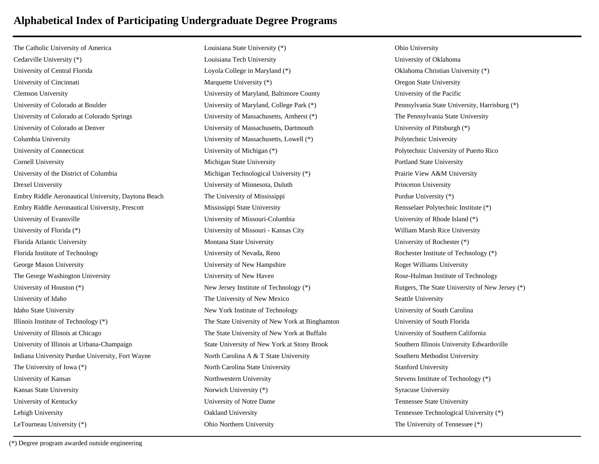The Catholic University of America Cedarville University (\*) University of Central Florida University of Cincinnati Clemson University University of Colorado at Boulder University of Colorado at Colorado Springs University of Colorado at Denver Columbia University University of Connecticut Cornell University University of the District of Columbia Drexel University Embry Riddle Aeronautical University, Daytona Beach Embry Riddle Aeronautical University, Prescott University of Evansville University of Florida (\*) Florida Atlantic University Florida Institute of Technology George Mason University The George Washington University University of Houston (\*) University of Idaho Idaho State University Illinois Institute of Technology (\*) University of Illinois at Chicago University of Illinois at Urbana-Champaign Indiana University Purdue University, Fort Wayne The University of Iowa (\*) University of Kansas Kansas State University University of Kentucky Lehigh University LeTourneau University (\*)

Louisiana State University (\*) Louisiana Tech University Loyola College in Maryland (\*) Marquette University (\*) University of Maryland, Baltimore County University of Maryland, College Park (\*) University of Massachusetts, Amherst (\*) University of Massachusetts, Dartmouth University of Massachusetts, Lowell (\*) University of Michigan (\*) Michigan State University Michigan Technological University (\*) University of Minnesota, Duluth The University of Mississippi Mississippi State University University of Missouri-Columbia University of Missouri - Kansas City Montana State University University of Nevada, Reno University of New Hampshire University of New Haven New Jersey Institute of Technology (\*) The University of New Mexico New York Institute of Technology The State University of New York at Binghamton The State University of New York at Buffalo State University of New York at Stony Brook North Carolina A & T State University North Carolina State University Northwestern University Norwich University (\*) University of Notre Dame Oakland University Ohio Northern University

Ohio University University of Oklahoma Oklahoma Christian University (\*) Oregon State University University of the Pacific Pennsylvania State University, Harrisburg (\*) The Pennsylvania State University University of Pittsburgh (\*) Polytechnic University Polytechnic University of Puerto Rico Portland State University Prairie View A&M University Princeton University Purdue University (\*) Rensselaer Polytechnic Institute (\*) University of Rhode Island (\*) William Marsh Rice University University of Rochester (\*) Rochester Institute of Technology (\*) Roger Williams University Rose-Hulman Institute of Technology Rutgers, The State University of New Jersey (\*) Seattle University University of South Carolina University of South Florida University of Southern California Southern Illinois University Edwardsville Southern Methodist University Stanford University Stevens Institute of Technology (\*) Syracuse University Tennessee State University Tennessee Technological University (\*) The University of Tennessee (\*)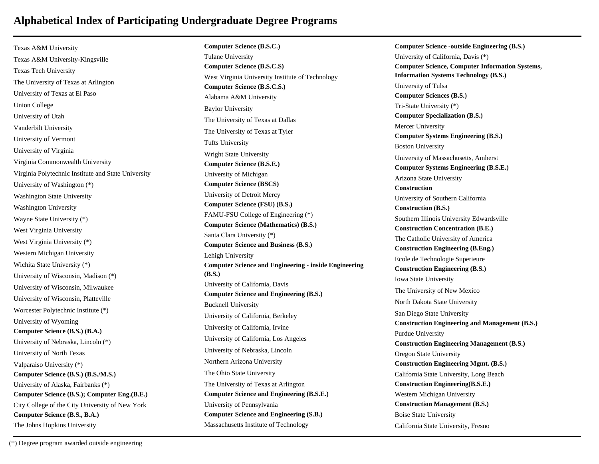Texas A&M University Texas A&M University-Kingsville Texas Tech University The University of Texas at Arlington University of Texas at El Paso Union College University of Utah Vanderbilt University University of Vermont University of Virginia Virginia Commonwealth University Virginia Polytechnic Institute and State University University of Washington (\*) Washington State University Washington University Wayne State University (\*) West Virginia University West Virginia University (\*) Western Michigan University Wichita State University (\*) University of Wisconsin, Madison (\*) University of Wisconsin, Milwaukee University of Wisconsin, Platteville Worcester Polytechnic Institute (\*) University of Wyoming **Computer Science (B.S.) (B.A.)** University of Nebraska, Lincoln (\*) University of North Texas Valparaiso University (\*) **Computer Science (B.S.) (B.S./M.S.)** University of Alaska, Fairbanks (\*) **Computer Science (B.S.); Computer Eng.(B.E.)** City College of the City University of New York **Computer Science (B.S., B.A.)** The Johns Hopkins University

**Computer Science (B.S.C.)** Tulane University **Computer Science (B.S.C.S)** West Virginia University Institute of Technology **Computer Science (B.S.C.S.)** Alabama A&M University Baylor University The University of Texas at Dallas The University of Texas at Tyler Tufts University Wright State University **Computer Science (B.S.E.)** University of Michigan **Computer Science (BSCS)** University of Detroit Mercy **Computer Science (FSU) (B.S.)** FAMU-FSU College of Engineering (\*) **Computer Science (Mathematics) (B.S.)** Santa Clara University (\*) **Computer Science and Business (B.S.)** Lehigh University **Computer Science and Engineering - inside Engineering (B.S.)** University of California, Davis **Computer Science and Engineering (B.S.)** Bucknell University University of California, Berkeley University of California, Irvine University of California, Los Angeles University of Nebraska, Lincoln Northern Arizona University The Ohio State University The University of Texas at Arlington **Computer Science and Engineering (B.S.E.)** University of Pennsylvania **Computer Science and Engineering (S.B.)** Massachusetts Institute of Technology

**Computer Science -outside Engineering (B.S.)** University of California, Davis (\*) **Computer Science, Computer Information Systems, Information Systems Technology (B.S.)** University of Tulsa **Computer Sciences (B.S.)** Tri-State University (\*) **Computer Specialization (B.S.)** Mercer University **Computer Systems Engineering (B.S.)** Boston University University of Massachusetts, Amherst **Computer Systems Engineering (B.S.E.)** Arizona State University **Construction** University of Southern California **Construction (B.S.)** Southern Illinois University Edwardsville **Construction Concentration (B.E.)** The Catholic University of America **Construction Engineering (B.Eng.)** Ecole de Technologie Superieure **Construction Engineering (B.S.)** Iowa State University The University of New Mexico North Dakota State University San Diego State University **Construction Engineering and Management (B.S.)** Purdue University **Construction Engineering Management (B.S.)** Oregon State University **Construction Engineering Mgmt. (B.S.)** California State University, Long Beach **Construction Engineering(B.S.E.)** Western Michigan University **Construction Management (B.S.)** Boise State University California State University, Fresno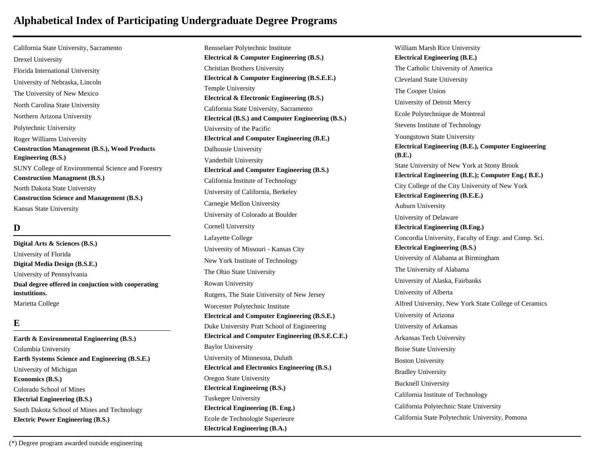California State University, Sacramento Drexel University Florida International University University of Nebraska, Lincoln The University of New Mexico North Carolina State University Northern Arizona University Polytechnic University Roger Williams University **Construction Management (B.S.), Wood Products Engineering (B.S.)** SUNY College of Environmental Science and Forestry **Construction Managment (B.S.)** North Dakota State University **Construction Science and Management (B.S.)** Kansas State University

### **D**

**Digital Arts & Sciences (B.S.)** University of Florida **Digital Media Design (B.S.E.)** University of Pennsylvania **Dual degree offered in conjuction with cooperating instutitions.** Marietta College

### **E**

**Earth & Environmental Engineering (B.S.)** Columbia University **Earth Systems Science and Engineering (B.S.E.)** University of Michigan **Economics (B.S.)** Colorado School of Mines **Electrial Engineering (B.S.)** South Dakota School of Mines and Technology **Electric Power Engineering (B.S.)**

Rensselaer Polytechnic Institute **Electrical & Computer Engineering (B.S.)** Christian Brothers University **Electrical & Computer Engineering (B.S.E.E.)** Temple University **Electrical & Electronic Engineering (B.S.)** California State University, Sacramento **Electrical (B.S.) and Computer Engineering (B.S.)** University of the Pacific **Electrical and Computer Engineering (B.E.)** Dalhousie University Vanderbilt University **Electrical and Computer Engineering (B.S.)** California Institute of Technology University of California, Berkeley Carnegie Mellon University University of Colorado at Boulder Cornell University Lafayette College University of Missouri - Kansas City New York Institute of Technology The Ohio State University Rowan University Rutgers, The State University of New Jersey Worcester Polytechnic Institute **Electrical and Computer Engineering (B.S.E.)** Duke University Pratt School of Engineering **Electrical and Computer Engineering (B.S.E.C.E.)** Baylor University University of Minnesota, Duluth **Electrical and Electronics Engineering (B.S.)** Oregon State University **Electrical Engineeirng (B.S.)** Tuskegee University **Electrical Engineering (B. Eng.)** Ecole de Technologie Superieure **Electrical Engineering (B.A.)**

William Marsh Rice University **Electrical Engineering (B.E.)** The Catholic University of America Cleveland State University The Cooper Union University of Detroit Mercy Ecole Polytechnique de Montreal Stevens Institute of Technology Youngstown State University **Electrical Engineering (B.E.), Computer Engineering (B.E.)** State University of New York at Stony Brook **Electrical Engineering (B.E.); Computer Eng.( B.E.)** City College of the City University of New York **Electrical Engineering (B.E.E.)** Auburn University University of Delaware **Electrical Engineering (B.Eng.)** Concordia University, Faculty of Engr. and Comp. Sci. **Electrical Engineering (B.S.)** University of Alabama at Birmingham The University of Alabama University of Alaska, Fairbanks University of Alberta Alfred University, New York State College of Ceramics University of Arizona University of Arkansas Arkansas Tech University Boise State University Boston University Bradley University Bucknell University California Institute of Technology California Polytechnic State University California State Polytechnic University, Pomona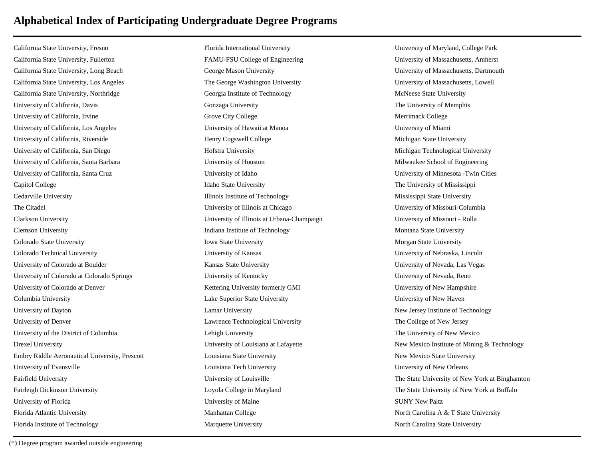California State University, Fresno California State University, Fullerton California State University, Long Beach California State University, Los Angeles California State University, Northridge University of California, Davis University of California, Irvine University of California, Los Angeles University of California, Riverside University of California, San Diego University of California, Santa Barbara University of California, Santa Cruz Capitol College Cedarville University The Citadel Clarkson University Clemson University Colorado State University Colorado Technical University University of Colorado at Boulder University of Colorado at Colorado Springs University of Colorado at Denver Columbia University University of Dayton University of Denver University of the District of Columbia Drexel University Embry Riddle Aeronautical University, Prescott University of Evansville Fairfield University Fairleigh Dickinson University University of Florida Florida Atlantic University Florida Institute of Technology

Florida International University FAMU-FSU College of Engineering George Mason University The George Washington University Georgia Institute of Technology Gonzaga University Grove City College University of Hawaii at Manoa Henry Cogswell College Hofstra University University of Houston University of Idaho Idaho State University Illinois Institute of Technology University of Illinois at Chicago University of Illinois at Urbana-Champaign Indiana Institute of Technology Iowa State University University of Kansas Kansas State University University of Kentucky Kettering University formerly GMI Lake Superior State University Lamar University Lawrence Technological University Lehigh University University of Louisiana at Lafayette Louisiana State University Louisiana Tech University University of Louisville Loyola College in Maryland University of Maine Manhattan College Marquette University

University of Maryland, College Park University of Massachusetts, Amherst University of Massachusetts, Dartmouth University of Massachusetts, Lowell McNeese State University The University of Memphis Merrimack College University of Miami Michigan State University Michigan Technological University Milwaukee School of Engineering University of Minnesota -Twin Cities The University of Mississippi Mississippi State University University of Missouri-Columbia University of Missouri - Rolla Montana State University Morgan State University University of Nebraska, Lincoln University of Nevada, Las Vegas University of Nevada, Reno University of New Hampshire University of New Haven New Jersey Institute of Technology The College of New Jersey The University of New Mexico New Mexico Institute of Mining & Technology New Mexico State University University of New Orleans The State University of New York at Binghamton The State University of New York at Buffalo SUNY New Paltz North Carolina A & T State University North Carolina State University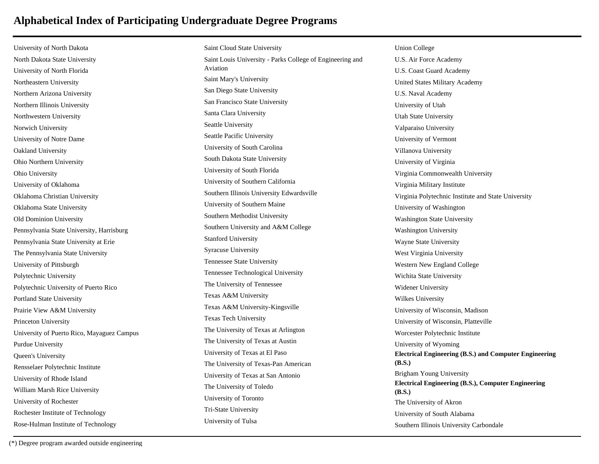University of North Dakota North Dakota State University University of North Florida Northeastern University Northern Arizona University Northern Illinois University Northwestern University Norwich University University of Notre Dame Oakland University Ohio Northern University Ohio University University of Oklahoma Oklahoma Christian University Oklahoma State University Old Dominion University Pennsylvania State University, Harrisburg Pennsylvania State University at Erie The Pennsylvania State University University of Pittsburgh Polytechnic University Polytechnic University of Puerto Rico Portland State University Prairie View A&M University Princeton University University of Puerto Rico, Mayaguez Campus Purdue University Queen's University Rensselaer Polytechnic Institute University of Rhode Island William Marsh Rice University University of Rochester Rochester Institute of Technology Rose-Hulman Institute of Technology

Saint Cloud State University Saint Louis University - Parks College of Engineering and Aviation Saint Mary's University San Diego State University San Francisco State University Santa Clara University Seattle University Seattle Pacific University University of South Carolina South Dakota State University University of South Florida University of Southern California Southern Illinois University Edwardsville University of Southern Maine Southern Methodist University Southern University and A&M College Stanford University Syracuse University Tennessee State University Tennessee Technological University The University of Tennessee Texas A&M University Texas A&M University-Kingsville Texas Tech University The University of Texas at Arlington The University of Texas at Austin University of Texas at El Paso The University of Texas-Pan American University of Texas at San Antonio The University of Toledo University of Toronto Tri-State University University of Tulsa

Union College U.S. Air Force Academy U.S. Coast Guard Academy United States Military Academy U.S. Naval Academy University of Utah Utah State University Valparaiso University University of Vermont Villanova University University of Virginia Virginia Commonwealth University Virginia Military Institute Virginia Polytechnic Institute and State University University of Washington Washington State University Washington University Wayne State University West Virginia University Western New England College Wichita State University Widener University Wilkes University University of Wisconsin, Madison University of Wisconsin, Platteville Worcester Polytechnic Institute University of Wyoming **Electrical Engineering (B.S.) and Computer Engineering (B.S.)** Brigham Young University **Electrical Engineering (B.S.), Computer Engineering (B.S.)** The University of Akron University of South Alabama Southern Illinois University Carbondale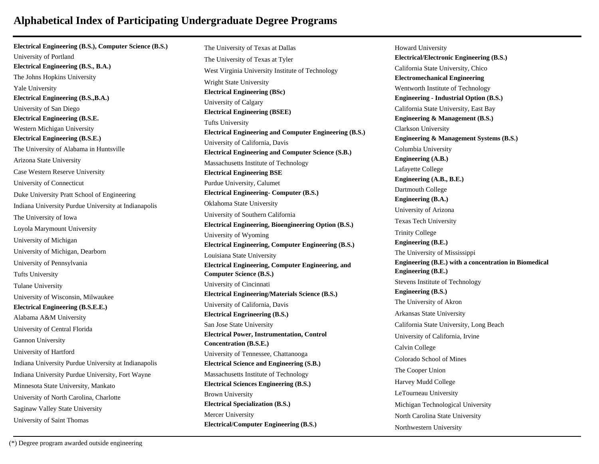**Electrical Engineering (B.S.), Computer Science (B.S.)** University of Portland **Electrical Engineering (B.S., B.A.)** The Johns Hopkins University Yale University **Electrical Engineering (B.S.,B.A.)** University of San Diego **Electrical Engineering (B.S.E.** Western Michigan University **Electrical Engineering (B.S.E.)** The University of Alabama in Huntsville Arizona State University Case Western Reserve University University of Connecticut Duke University Pratt School of Engineering Indiana University Purdue University at Indianapolis The University of Iowa Loyola Marymount University University of Michigan University of Michigan, Dearborn University of Pennsylvania Tufts University Tulane University University of Wisconsin, Milwaukee **Electrical Engineering (B.S.E.E.)** Alabama A&M University University of Central Florida Gannon University University of Hartford Indiana University Purdue University at Indianapolis Indiana University Purdue University, Fort Wayne Minnesota State University, Mankato University of North Carolina, Charlotte Saginaw Valley State University University of Saint Thomas

The University of Texas at Dallas The University of Texas at Tyler West Virginia University Institute of Technology Wright State University **Electrical Engineering (BSc)** University of Calgary **Electrical Engineering (BSEE)** Tufts University **Electrical Engineering and Computer Engineering (B.S.)** University of California, Davis **Electrical Engineering and Computer Science (S.B.)** Massachusetts Institute of Technology **Electrical Engineering BSE** Purdue University, Calumet **Electrical Engineering- Computer (B.S.)** Oklahoma State University University of Southern California **Electrical Engineering, Bioengineering Option (B.S.)** University of Wyoming **Electrical Engineering, Computer Engineering (B.S.)** Louisiana State University **Electrical Engineering, Computer Engineering, and Computer Science (B.S.)** University of Cincinnati **Electrical Engineering/Materials Science (B.S.)** University of California, Davis **Electrical Engrineering (B.S.)** San Jose State University **Electrical Power, Instrumentation, Control Concentration (B.S.E.)** University of Tennessee, Chattanooga **Electrical Science and Engineering (S.B.)** Massachusetts Institute of Technology **Electrical Sciences Engineering (B.S.)** Brown University **Electrical Specialization (B.S.)** Mercer University **Electrical/Computer Engineering (B.S.)**

Howard University **Electrical/Electronic Engineering (B.S.)** California State University, Chico **Electromechanical Engineering** Wentworth Institute of Technology **Engineering - Industrial Option (B.S.)** California State University, East Bay **Engineering & Management (B.S.)** Clarkson University **Engineering & Management Systems (B.S.)** Columbia University **Engineering (A.B.)** Lafayette College **Engineering (A.B., B.E.)** Dartmouth College **Engineering (B.A.)** University of Arizona Texas Tech University Trinity College **Engineering (B.E.)** The University of Mississippi **Engineering (B.E.) with a concentration in Biomedical Engineering (B.E.)** Stevens Institute of Technology **Engineering (B.S.)** The University of Akron Arkansas State University California State University, Long Beach University of California, Irvine Calvin College Colorado School of Mines The Cooper Union Harvey Mudd College LeTourneau University Michigan Technological University North Carolina State University Northwestern University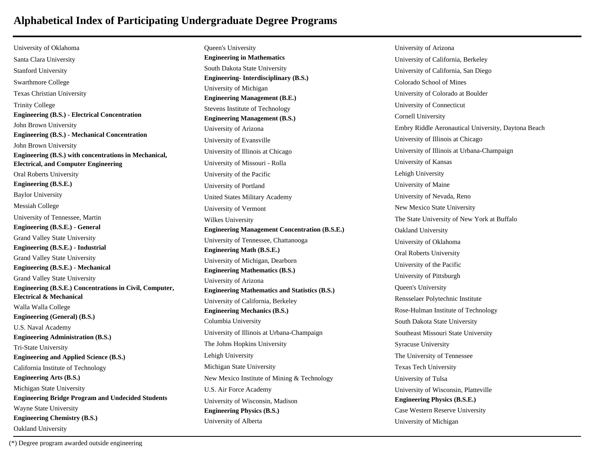University of Oklahoma Santa Clara University Stanford University Swarthmore College Texas Christian University Trinity College **Engineering (B.S.) - Electrical Concentration** John Brown University **Engineering (B.S.) - Mechanical Concentration** John Brown University **Engineering (B.S.) with concentrations in Mechanical, Electrical, and Computer Engineering** Oral Roberts University **Engineering (B.S.E.)** Baylor University Messiah College University of Tennessee, Martin **Engineering (B.S.E.) - General** Grand Valley State University **Engineering (B.S.E.) - Industrial** Grand Valley State University **Engineering (B.S.E.) - Mechanical** Grand Valley State University **Engineering (B.S.E.) Concentrations in Civil, Computer, Electrical & Mechanical** Walla Walla College **Engineering (General) (B.S.)** U.S. Naval Academy **Engineering Administration (B.S.)** Tri-State University **Engineering and Applied Science (B.S.)** California Institute of Technology **Engineering Arts (B.S.)** Michigan State University **Engineering Bridge Program and Undecided Students** Wayne State University **Engineering Chemistry (B.S.)** Oakland University

Queen's University **Engineering in Mathematics** South Dakota State University **Engineering- Interdisciplinary (B.S.)** University of Michigan **Engineering Management (B.E.)** Stevens Institute of Technology **Engineering Management (B.S.)** University of Arizona University of Evansville University of Illinois at Chicago University of Missouri - Rolla University of the Pacific University of Portland United States Military Academy University of Vermont Wilkes University **Engineering Management Concentration (B.S.E.)** University of Tennessee, Chattanooga **Engineering Math (B.S.E.)** University of Michigan, Dearborn **Engineering Mathematics (B.S.)** University of Arizona **Engineering Mathematics and Statistics (B.S.)** University of California, Berkeley **Engineering Mechanics (B.S.)** Columbia University University of Illinois at Urbana-Champaign The Johns Hopkins University Lehigh University Michigan State University New Mexico Institute of Mining & Technology U.S. Air Force Academy University of Wisconsin, Madison **Engineering Physics (B.S.)** University of Alberta

University of Arizona University of California, Berkeley University of California, San Diego Colorado School of Mines University of Colorado at Boulder University of Connecticut Cornell University Embry Riddle Aeronautical University, Daytona Beach University of Illinois at Chicago University of Illinois at Urbana-Champaign University of Kansas Lehigh University University of Maine University of Nevada, Reno New Mexico State University The State University of New York at Buffalo Oakland University University of Oklahoma Oral Roberts University University of the Pacific University of Pittsburgh Queen's University Rensselaer Polytechnic Institute Rose-Hulman Institute of Technology South Dakota State University Southeast Missouri State University Syracuse University The University of Tennessee Texas Tech University University of Tulsa University of Wisconsin, Platteville **Engineering Physics (B.S.E.)** Case Western Reserve University University of Michigan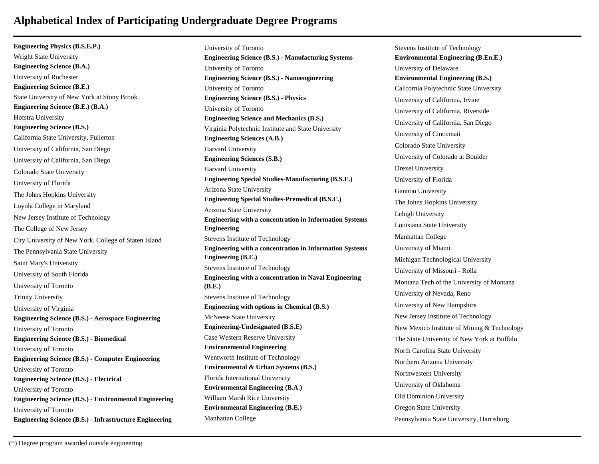**Engineering Physics (B.S.E.P.)** Wright State University **Engineering Science (B.A.)** University of Rochester **Engineering Science (B.E.)** State University of New York at Stony Brook **Engineering Science (B.E.) (B.A.)** Hofstra University **Engineering Science (B.S.)** California State University, Fullerton University of California, San Diego University of California, San Diego Colorado State University University of Florida The Johns Hopkins University Loyola College in Maryland New Jersey Institute of Technology The College of New Jersey City University of New York, College of Staten Island The Pennsylvania State University Saint Mary's University University of South Florida University of Toronto Trinity University University of Virginia **Engineering Science (B.S.) - Aerospace Engineering** University of Toronto **Engineering Science (B.S.) - Biomedical** University of Toronto **Engineering Science (B.S.) - Computer Engineering** University of Toronto **Engineering Science (B.S.) - Electrical** University of Toronto **Engineering Science (B.S.) - Environmental Engineering** University of Toronto **Engineering Science (B.S.) - Infrastructure Engineering**

University of Toronto **Engineering Science (B.S.) - Manufacturing Systems** University of Toronto **Engineering Science (B.S.) - Nanoengineering** University of Toronto **Engineering Science (B.S.) - Physics** University of Toronto **Engineering Science and Mechanics (B.S.)** Virginia Polytechnic Institute and State University **Engineering Sciences (A.B.)** Harvard University **Engineering Sciences (S.B.)** Harvard University **Engineering Special Studies-Manufacturing (B.S.E.)** Arizona State University **Engineering Special Studies-Premedical (B.S.E.)** Arizona State University **Engineering with a concentration in Information Systems Engineering** Stevens Institute of Technology **Engineering with a concentration in Information Systems Engineering (B.E.)** Stevens Institute of Technology **Engineering with a concentration in Naval Engineering (B.E.)** Stevens Institute of Technology **Engineering with options in Chemical (B.S.)** McNeese State University **Engineering-Undesignated (B.S.E)** Case Western Reserve University **Environemental Engineering** Wentworth Institute of Technology **Environmental & Urban Systems (B.S.)** Florida International University **Environmental Engineering (B.A.)** William Marsh Rice University **Environmental Engineering (B.E.)** Manhattan College

Stevens Institute of Technology **Environmental Engineering (B.En.E.)** University of Delaware **Environmental Engineering (B.S.)** California Polytechnic State University University of California, Irvine University of California, Riverside University of California, San Diego University of Cincinnati Colorado State University University of Colorado at Boulder Drexel University University of Florida Gannon University The Johns Hopkins University Lehigh University Louisiana State University Manhattan College University of Miami Michigan Technological University University of Missouri - Rolla Montana Tech of the University of Montana University of Nevada, Reno University of New Hampshire New Jersey Institute of Technology New Mexico Institute of Mining & Technology The State University of New York at Buffalo North Carolina State University Northern Arizona University Northwestern University University of Oklahoma Old Dominion University Oregon State University Pennsylvania State University, Harrisburg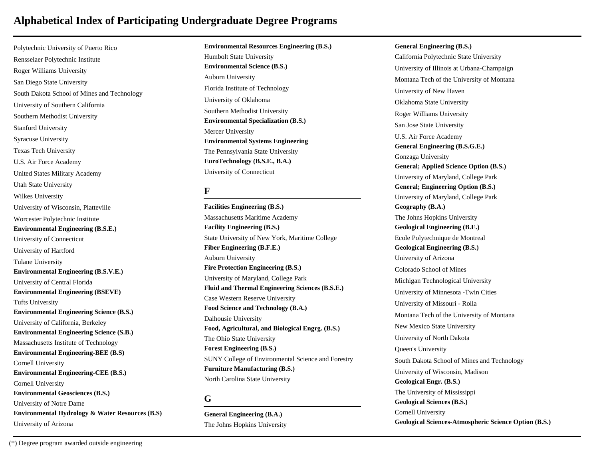Polytechnic University of Puerto Rico Rensselaer Polytechnic Institute Roger Williams University San Diego State University South Dakota School of Mines and Technology University of Southern California Southern Methodist University Stanford University Syracuse University Texas Tech University U.S. Air Force Academy United States Military Academy Utah State University Wilkes University University of Wisconsin, Platteville Worcester Polytechnic Institute **Environmental Engineering (B.S.E.)** University of Connecticut University of Hartford Tulane University **Environmental Engineering (B.S.V.E.)** University of Central Florida **Environmental Engineering (BSEVE)** Tufts University **Environmental Engineering Science (B.S.)** University of California, Berkeley **Environmental Engineering Science (S.B.)** Massachusetts Institute of Technology **Environmental Engineering-BEE (B.S)** Cornell University **Environmental Engineering-CEE (B.S.)** Cornell University **Environmental Geosciences (B.S.)** University of Notre Dame **Environmental Hydrology & Water Resources (B.S)** University of Arizona

**Environmental Resources Engineering (B.S.)** Humbolt State University **Environmental Science (B.S.)** Auburn University Florida Institute of Technology University of Oklahoma Southern Methodist University **Environmental Specialization (B.S.)** Mercer University **Environmental Systems Engineering** The Pennsylvania State University **EuroTechnology (B.S.E., B.A.)** University of Connecticut

#### **F**

**Facilities Engineering (B.S.)** Massachusetts Maritime Academy **Facility Engineering (B.S.)** State University of New York, Maritime College **Fiber Engineering (B.F.E.)** Auburn University **Fire Protection Engineering (B.S.)** University of Maryland, College Park **Fluid and Thermal Engineering Sciences (B.S.E.)** Case Western Reserve University **Food Science and Technology (B.A.)** Dalhousie University **Food, Agricultural, and Biological Engrg. (B.S.)** The Ohio State University **Forest Engineering (B.S.)** SUNY College of Environmental Science and Forestry **Furniture Manufacturing (B.S.)** North Carolina State University

#### **G**

**General Engineering (B.A.)** The Johns Hopkins University

**General Engineering (B.S.)** California Polytechnic State University University of Illinois at Urbana-Champaign Montana Tech of the University of Montana University of New Haven Oklahoma State University Roger Williams University San Jose State University U.S. Air Force Academy **General Engineering (B.S.G.E.)** Gonzaga University **General; Applied Science Option (B.S.)** University of Maryland, College Park **General; Engineering Option (B.S.)** University of Maryland, College Park **Geography (B.A.)** The Johns Hopkins University **Geological Engineering (B.E.)** Ecole Polytechnique de Montreal **Geological Engineering (B.S.)** University of Arizona Colorado School of Mines Michigan Technological University University of Minnesota -Twin Cities University of Missouri - Rolla Montana Tech of the University of Montana New Mexico State University University of North Dakota Queen's University South Dakota School of Mines and Technology University of Wisconsin, Madison **Geological Engr. (B.S.)** The University of Mississippi **Geological Sciences (B.S.)** Cornell University **Geological Sciences-Atmospheric Science Option (B.S.)**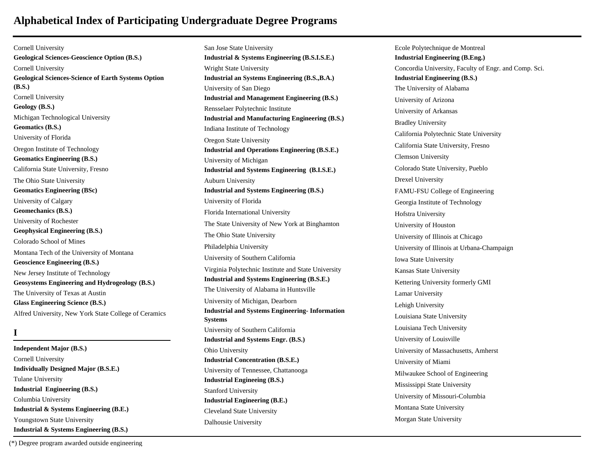Cornell University **Geological Sciences-Geoscience Option (B.S.)** Cornell University **Geological Sciences-Science of Earth Systems Option (B.S.)** Cornell University **Geology (B.S.)** Michigan Technological University **Geomatics (B.S.)** University of Florida Oregon Institute of Technology **Geomatics Engineering (B.S.)** California State University, Fresno The Ohio State University **Geomatics Engineering (BSc)** University of Calgary **Geomechanics (B.S.)** University of Rochester **Geophysical Engineering (B.S.)** Colorado School of Mines Montana Tech of the University of Montana **Geoscience Engineering (B.S.)** New Jersey Institute of Technology **Geosystems Engineering and Hydrogeology (B.S.)** The University of Texas at Austin **Glass Engineering Science (B.S.)** Alfred University, New York State College of Ceramics

### **I**

**Independent Major (B.S.)** Cornell University **Individually Designed Major (B.S.E.)** Tulane University **Industrial Engineering (B.S.)** Columbia University **Industrial & Systems Engineering (B.E.)** Youngstown State University **Industrial & Systems Engineering (B.S.)**

San Jose State University **Industrial & Systems Engineering (B.S.I.S.E.)** Wright State University **Industrial an Systems Engineering (B.S.,B.A.)** University of San Diego **Industrial and Management Engineering (B.S.)** Rensselaer Polytechnic Institute **Industrial and Manufacturing Engineering (B.S.)** Indiana Institute of Technology Oregon State University **Industrial and Operations Engineering (B.S.E.)** University of Michigan **Industrial and Systems Engineering (B.I.S.E.)** Auburn University **Industrial and Systems Engineering (B.S.)** University of Florida Florida International University The State University of New York at Binghamton The Ohio State University Philadelphia University University of Southern California Virginia Polytechnic Institute and State University **Industrial and Systems Engineering (B.S.E.)** The University of Alabama in Huntsville University of Michigan, Dearborn **Industrial and Systems Engineering- Information Systems** University of Southern California **Industrial and Systems Engr. (B.S.)** Ohio University **Industrial Concentration (B.S.E.)** University of Tennessee, Chattanooga **Industrial Engineeing (B.S.)** Stanford University **Industrial Engineering (B.E.)** Cleveland State University Dalhousie University

Ecole Polytechnique de Montreal **Industrial Engineering (B.Eng.)** Concordia University, Faculty of Engr. and Comp. Sci. **Industrial Engineering (B.S.)** The University of Alabama University of Arizona University of Arkansas Bradley University California Polytechnic State University California State University, Fresno Clemson University Colorado State University, Pueblo Drexel University FAMU-FSU College of Engineering Georgia Institute of Technology Hofstra University University of Houston University of Illinois at Chicago University of Illinois at Urbana-Champaign Iowa State University Kansas State University Kettering University formerly GMI Lamar University Lehigh University Louisiana State University Louisiana Tech University University of Louisville University of Massachusetts, Amherst University of Miami Milwaukee School of Engineering Mississippi State University University of Missouri-Columbia Montana State University Morgan State University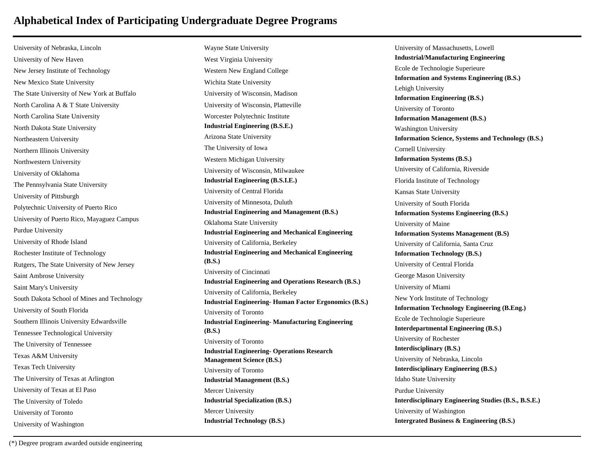University of Nebraska, Lincoln University of New Haven New Jersey Institute of Technology New Mexico State University The State University of New York at Buffalo North Carolina A & T State University North Carolina State University North Dakota State University Northeastern University Northern Illinois University Northwestern University University of Oklahoma The Pennsylvania State University University of Pittsburgh Polytechnic University of Puerto Rico University of Puerto Rico, Mayaguez Campus Purdue University University of Rhode Island Rochester Institute of Technology Rutgers, The State University of New Jersey Saint Ambrose University Saint Mary's University South Dakota School of Mines and Technology University of South Florida Southern Illinois University Edwardsville Tennessee Technological University The University of Tennessee Texas A&M University Texas Tech University The University of Texas at Arlington University of Texas at El Paso The University of Toledo University of Toronto University of Washington

Wayne State University West Virginia University Western New England College Wichita State University University of Wisconsin, Madison University of Wisconsin, Platteville Worcester Polytechnic Institute **Industrial Engineering (B.S.E.)** Arizona State University The University of Iowa Western Michigan University University of Wisconsin, Milwaukee **Industrial Engineering (B.S.I.E.)** University of Central Florida University of Minnesota, Duluth **Industrial Engineering and Management (B.S.)** Oklahoma State University **Industrial Engineering and Mechanical Engineering** University of California, Berkeley **Industrial Engineering and Mechanical Engineering (B.S.)** University of Cincinnati **Industrial Engineering and Operations Research (B.S.)** University of California, Berkeley **Industrial Engineering- Human Factor Ergonomics (B.S.)** University of Toronto **Industrial Engineering- Manufacturing Engineering (B.S.)** University of Toronto **Industrial Engineering- Operations Research Management Science (B.S.)** University of Toronto **Industrial Management (B.S.)** Mercer University **Industrial Specialization (B.S.)** Mercer University **Industrial Technology (B.S.)**

University of Massachusetts, Lowell **Industrial/Manufacturing Engineering** Ecole de Technologie Superieure **Information and Systems Engineering (B.S.)** Lehigh University **Information Engineering (B.S.)** University of Toronto **Information Management (B.S.)** Washington University **Information Science, Systems and Technology (B.S.)** Cornell University **Information Systems (B.S.)** University of California, Riverside Florida Institute of Technology Kansas State University University of South Florida **Information Systems Engineering (B.S.)** University of Maine **Information Systems Management (B.S)** University of California, Santa Cruz **Information Technology (B.S.)** University of Central Florida George Mason University University of Miami New York Institute of Technology **Information Technology Engineering (B.Eng.)** Ecole de Technologie Superieure **Interdepartmental Engineering (B.S.)** University of Rochester **Interdisciplinary (B.S.)** University of Nebraska, Lincoln **Interdisciplinary Engineering (B.S.)** Idaho State University Purdue University **Interdisciplinary Engineering Studies (B.S., B.S.E.)** University of Washington **Intergrated Business & Engineering (B.S.)**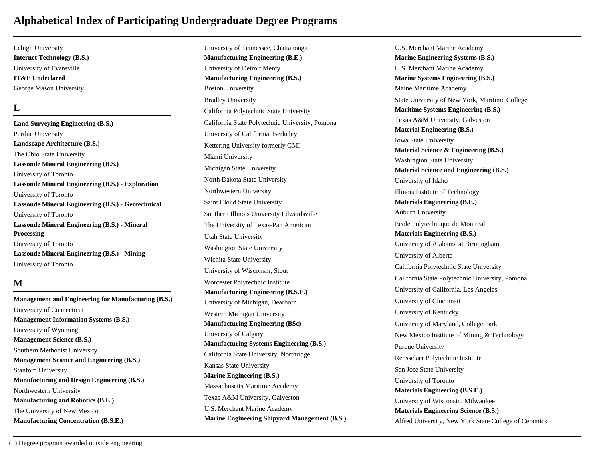Lehigh University **Internet Technology (B.S.)** University of Evansville **IT&E Undeclared** George Mason University

#### **L**

**Land Surveying Engineering (B.S.)** Purdue University **Landscape Architecture (B.S.)** The Ohio State University **Lassonde Mineral Engineering (B.S.)** University of Toronto **Lassonde Mineral Engineering (B.S.) - Exploration** University of Toronto **Lassonde Mineral Engineering (B.S.) - Geotechnical** University of Toronto **Lassonde Mineral Engineering (B.S.) - Mineral Processing** University of Toronto **Lassonde Mineral Engineering (B.S.) - Mining** University of Toronto

#### **M**

**Management and Engineering for Manufacturing (B.S.)** University of Connecticut **Management Information Systems (B.S.)** University of Wyoming **Management Science (B.S.)** Southern Methodist University **Management Science and Engineering (B.S.)** Stanford University **Manufacturing and Design Engineering (B.S.)** Northwestern University **Manufacturing and Robotics (B.E.)** The University of New Mexico **Manufacturing Concentration (B.S.E.)**

University of Tennessee, Chattanooga **Manufacturing Engineering (B.E.)** University of Detroit Mercy **Manufacturing Engineering (B.S.)** Boston University Bradley University California Polytechnic State University California State Polytechnic University, Pomona University of California, Berkeley Kettering University formerly GMI Miami University Michigan State University North Dakota State University Northwestern University Saint Cloud State University Southern Illinois University Edwardsville The University of Texas-Pan American Utah State University Washington State University Wichita State University University of Wisconsin, Stout Worcester Polytechnic Institute **Manufacturing Engineering (B.S.E.)** University of Michigan, Dearborn Western Michigan University **Manufacturing Engineering (BSc)** University of Calgary **Manufacturing Systems Engineering (B.S.)** California State University, Northridge Kansas State University **Marine Engineering (B.S.)** Massachusetts Maritime Academy Texas A&M University, Galveston U.S. Merchant Marine Academy **Marine Engineering Shipyard Management (B.S.)** U.S. Merchant Marine Academy **Marine Engineering Systems (B.S.)** U.S. Merchant Marine Academy **Marine Systems Engineering (B.S.)** Maine Maritime Academy State University of New York, Maritime College **Maritime Systems Engineering (B.S.)** Texas A&M University, Galveston **Material Engineering (B.S.)** Iowa State University **Material Science & Engineering (B.S.)** Washington State University **Material Science and Engineering (B.S.)** University of Idaho Illinois Institute of Technology **Materials Engineering (B.E.)** Auburn University Ecole Polytechnique de Montreal **Materials Engineering (B.S.)** University of Alabama at Birmingham University of Alberta California Polytechnic State University California State Polytechnic University, Pomona University of California, Los Angeles University of Cincinnati University of Kentucky University of Maryland, College Park New Mexico Institute of Mining & Technology Purdue University Rensselaer Polytechnic Institute San Jose State University University of Toronto **Materials Engineering (B.S.E.)** University of Wisconsin, Milwaukee **Materials Engineering Science (B.S.)** Alfred University, New York State College of Ceramics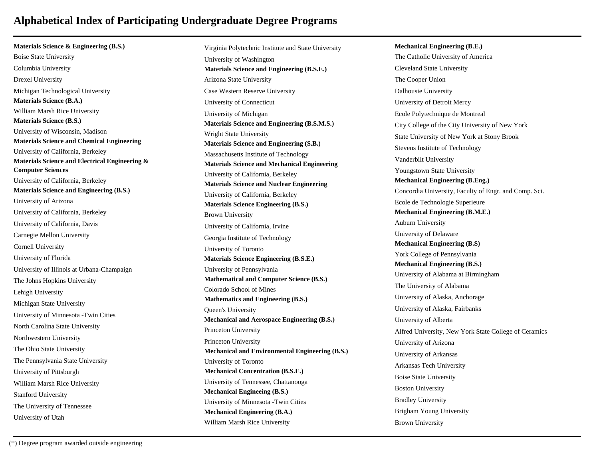**Materials Science & Engineering (B.S.)** Boise State University Columbia University Drexel University Michigan Technological University **Materials Science (B.A.)** William Marsh Rice University **Materials Science (B.S.)** University of Wisconsin, Madison **Materials Science and Chemical Engineering** University of California, Berkeley **Materials Science and Electrical Engineering & Computer Sciences** University of California, Berkeley **Materials Science and Engineering (B.S.)** University of Arizona University of California, Berkeley University of California, Davis Carnegie Mellon University Cornell University University of Florida University of Illinois at Urbana-Champaign The Johns Hopkins University Lehigh University Michigan State University University of Minnesota -Twin Cities North Carolina State University Northwestern University The Ohio State University The Pennsylvania State University University of Pittsburgh William Marsh Rice University Stanford University The University of Tennessee

Virginia Polytechnic Institute and State University University of Washington **Materials Science and Engineering (B.S.E.)** Arizona State University Case Western Reserve University University of Connecticut University of Michigan **Materials Science and Engineering (B.S.M.S.)** Wright State University **Materials Science and Engineering (S.B.)** Massachusetts Institute of Technology **Materials Science and Mechanical Engineering** University of California, Berkeley **Materials Science and Nuclear Engineering** University of California, Berkeley **Materials Science Engineering (B.S.)** Brown University University of California, Irvine Georgia Institute of Technology University of Toronto **Materials Science Engineering (B.S.E.)** University of Pennsylvania **Mathematical and Computer Science (B.S.)** Colorado School of Mines **Mathematics and Engineering (B.S.)** Queen's University **Mechanical and Aerospace Engineering (B.S.)** Princeton University Princeton University **Mechanical and Environmental Engineering (B.S.)** University of Toronto **Mechanical Concentration (B.S.E.)** University of Tennessee, Chattanooga **Mechanical Engineeing (B.S.)** University of Minnesota -Twin Cities **Mechanical Engineering (B.A.)** William Marsh Rice University

**Mechanical Engineering (B.E.)** The Catholic University of America Cleveland State University The Cooper Union Dalhousie University University of Detroit Mercy Ecole Polytechnique de Montreal City College of the City University of New York State University of New York at Stony Brook Stevens Institute of Technology Vanderbilt University Youngstown State University **Mechanical Engineering (B.Eng.)** Concordia University, Faculty of Engr. and Comp. Sci. Ecole de Technologie Superieure **Mechanical Engineering (B.M.E.)** Auburn University University of Delaware **Mechanical Engineering (B.S)** York College of Pennsylvania **Mechanical Engineering (B.S.)** University of Alabama at Birmingham The University of Alabama University of Alaska, Anchorage University of Alaska, Fairbanks University of Alberta Alfred University, New York State College of Ceramics University of Arizona University of Arkansas Arkansas Tech University Boise State University Boston University Bradley University Brigham Young University Brown University

University of Utah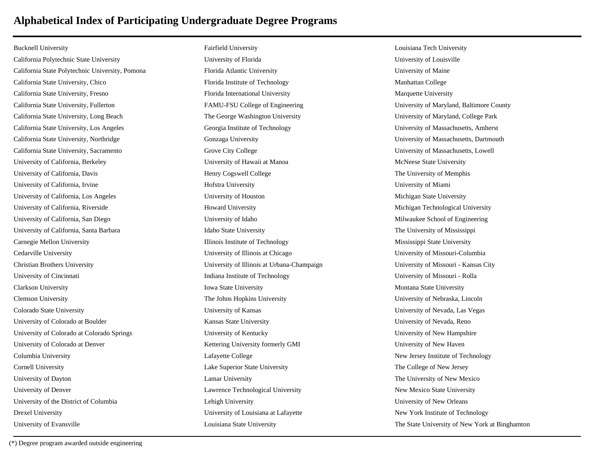Bucknell University California Polytechnic State University California State Polytechnic University, Pomona California State University, Chico California State University, Fresno California State University, Fullerton California State University, Long Beach California State University, Los Angeles California State University, Northridge California State University, Sacramento University of California, Berkeley University of California, Davis University of California, Irvine University of California, Los Angeles University of California, Riverside University of California, San Diego University of California, Santa Barbara Carnegie Mellon University Cedarville University Christian Brothers University University of Cincinnati Clarkson University Clemson University Colorado State University University of Colorado at Boulder University of Colorado at Colorado Springs University of Colorado at Denver Columbia University Cornell University University of Dayton University of Denver University of the District of Columbia Drexel University University of Evansville

Fairfield University University of Florida Florida Atlantic University Florida Institute of Technology Florida International University FAMU-FSU College of Engineering The George Washington University Georgia Institute of Technology Gonzaga University Grove City College University of Hawaii at Manoa Henry Cogswell College Hofstra University University of Houston Howard University University of Idaho Idaho State University Illinois Institute of Technology University of Illinois at Chicago University of Illinois at Urbana-Champaign Indiana Institute of Technology Iowa State University The Johns Hopkins University University of Kansas Kansas State University University of Kentucky Kettering University formerly GMI Lafayette College Lake Superior State University Lamar University Lawrence Technological University Lehigh University University of Louisiana at Lafayette Louisiana State University

Louisiana Tech University University of Louisville University of Maine Manhattan College Marquette University University of Maryland, Baltimore County University of Maryland, College Park University of Massachusetts, Amherst University of Massachusetts, Dartmouth University of Massachusetts, Lowell McNeese State University The University of Memphis University of Miami Michigan State University Michigan Technological University Milwaukee School of Engineering The University of Mississippi Mississippi State University University of Missouri-Columbia University of Missouri - Kansas City University of Missouri - Rolla Montana State University University of Nebraska, Lincoln University of Nevada, Las Vegas University of Nevada, Reno University of New Hampshire University of New Haven New Jersey Institute of Technology The College of New Jersey The University of New Mexico New Mexico State University University of New Orleans New York Institute of Technology The State University of New York at Binghamton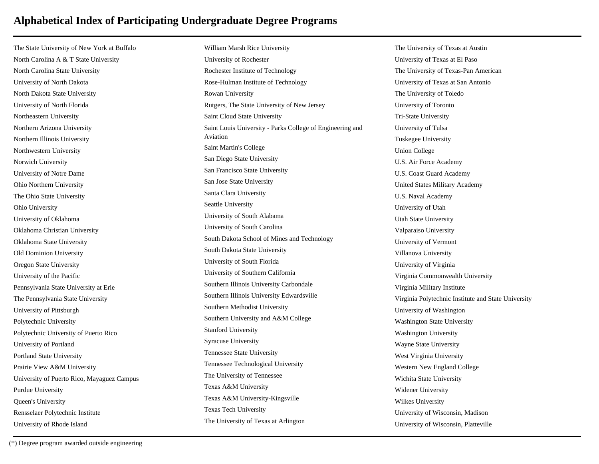The State University of New York at Buffalo North Carolina A & T State University North Carolina State University University of North Dakota North Dakota State University University of North Florida Northeastern University Northern Arizona University Northern Illinois University Northwestern University Norwich University University of Notre Dame Ohio Northern University The Ohio State University Ohio University University of Oklahoma Oklahoma Christian University Oklahoma State University Old Dominion University Oregon State University University of the Pacific Pennsylvania State University at Erie The Pennsylvania State University University of Pittsburgh Polytechnic University Polytechnic University of Puerto Rico University of Portland Portland State University Prairie View A&M University University of Puerto Rico, Mayaguez Campus Purdue University Queen's University Rensselaer Polytechnic Institute University of Rhode Island

William Marsh Rice University University of Rochester Rochester Institute of Technology Rose-Hulman Institute of Technology Rowan University Rutgers, The State University of New Jersey Saint Cloud State University Saint Louis University - Parks College of Engineering and Aviation Saint Martin's College San Diego State University San Francisco State University San Jose State University Santa Clara University Seattle University University of South Alabama University of South Carolina South Dakota School of Mines and Technology South Dakota State University University of South Florida University of Southern California Southern Illinois University Carbondale Southern Illinois University Edwardsville Southern Methodist University Southern University and A&M College Stanford University Syracuse University Tennessee State University Tennessee Technological University The University of Tennessee Texas A&M University Texas A&M University-Kingsville Texas Tech University The University of Texas at Arlington

The University of Texas at Austin University of Texas at El Paso The University of Texas-Pan American University of Texas at San Antonio The University of Toledo University of Toronto Tri-State University University of Tulsa Tuskegee University Union College U.S. Air Force Academy U.S. Coast Guard Academy United States Military Academy U.S. Naval Academy University of Utah Utah State University Valparaiso University University of Vermont Villanova University University of Virginia Virginia Commonwealth University Virginia Military Institute Virginia Polytechnic Institute and State University University of Washington Washington State University Washington University Wayne State University West Virginia University Western New England College Wichita State University Widener University Wilkes University University of Wisconsin, Madison University of Wisconsin, Platteville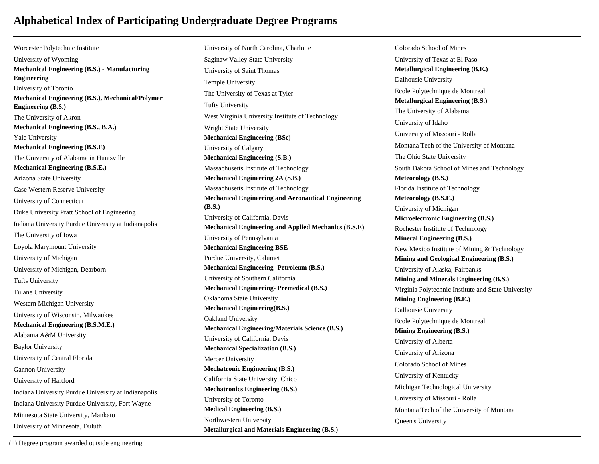Worcester Polytechnic Institute University of Wyoming **Mechanical Engineering (B.S.) - Manufacturing Engineering** University of Toronto **Mechanical Engineering (B.S.), Mechanical/Polymer Engineering (B.S.)** The University of Akron **Mechanical Engineering (B.S., B.A.)** Yale University **Mechanical Engineering (B.S.E)** The University of Alabama in Huntsville **Mechanical Engineering (B.S.E.)** Arizona State University Case Western Reserve University University of Connecticut Duke University Pratt School of Engineering Indiana University Purdue University at Indianapolis The University of Iowa Loyola Marymount University University of Michigan University of Michigan, Dearborn Tufts University Tulane University Western Michigan University University of Wisconsin, Milwaukee **Mechanical Engineering (B.S.M.E.)** Alabama A&M University Baylor University University of Central Florida Gannon University University of Hartford Indiana University Purdue University at Indianapolis Indiana University Purdue University, Fort Wayne Minnesota State University, Mankato University of Minnesota, Duluth

University of North Carolina, Charlotte Saginaw Valley State University University of Saint Thomas Temple University The University of Texas at Tyler Tufts University West Virginia University Institute of Technology Wright State University **Mechanical Engineering (BSc)** University of Calgary **Mechanical Engineering (S.B.)** Massachusetts Institute of Technology **Mechanical Engineering 2A (S.B.)** Massachusetts Institute of Technology **Mechanical Engineering and Aeronautical Engineering (B.S.)** University of California, Davis **Mechanical Engineering and Applied Mechanics (B.S.E)** University of Pennsylvania **Mechanical Engineering BSE** Purdue University, Calumet **Mechanical Engineering- Petroleum (B.S.)** University of Southern California **Mechanical Engineering- Premedical (B.S.)** Oklahoma State University **Mechanical Engineering(B.S.)** Oakland University **Mechanical Engineering/Materials Science (B.S.)** University of California, Davis **Mechanical Specialization (B.S.)** Mercer University **Mechatronic Engineering (B.S.)** California State University, Chico **Mechatronics Engineering (B.S.)** University of Toronto **Medical Engineering (B.S.)** Northwestern University **Metallurgical and Materials Engineering (B.S.)**

Colorado School of Mines University of Texas at El Paso **Metallurgical Engineering (B.E.)** Dalhousie University Ecole Polytechnique de Montreal **Metallurgical Engineering (B.S.)** The University of Alabama University of Idaho University of Missouri - Rolla Montana Tech of the University of Montana The Ohio State University South Dakota School of Mines and Technology **Meteorology (B.S.)** Florida Institute of Technology **Meteorology (B.S.E.)** University of Michigan **Microelectronic Engineering (B.S.)** Rochester Institute of Technology **Mineral Engineering (B.S.)** New Mexico Institute of Mining & Technology **Mining and Geological Engineering (B.S.)** University of Alaska, Fairbanks **Mining and Minerals Engineering (B.S.)** Virginia Polytechnic Institute and State University **Mining Engineering (B.E.)** Dalhousie University Ecole Polytechnique de Montreal **Mining Engineering (B.S.)** University of Alberta University of Arizona Colorado School of Mines University of Kentucky Michigan Technological University University of Missouri - Rolla Montana Tech of the University of Montana Queen's University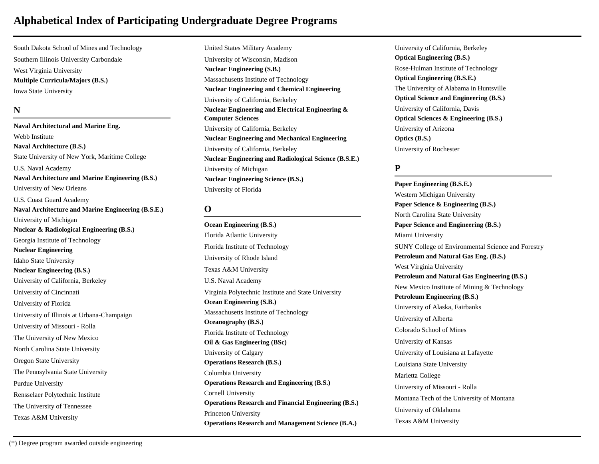South Dakota School of Mines and Technology Southern Illinois University Carbondale West Virginia University **Multiple Curricula/Majors (B.S.)** Iowa State University

### **N**

**Naval Architectural and Marine Eng.** Webb Institute **Naval Architecture (B.S.)** State University of New York, Maritime College U.S. Naval Academy **Naval Architecture and Marine Engineering (B.S.)** University of New Orleans U.S. Coast Guard Academy **Naval Architecture and Marine Engineering (B.S.E.)** University of Michigan **Nuclear & Radiological Engineering (B.S.)** Georgia Institute of Technology **Nuclear Engineering** Idaho State University **Nuclear Engineering (B.S.)** University of California, Berkeley University of Cincinnati University of Florida University of Illinois at Urbana-Champaign University of Missouri - Rolla The University of New Mexico North Carolina State University Oregon State University The Pennsylvania State University Purdue University Rensselaer Polytechnic Institute The University of Tennessee Texas A&M University

United States Military Academy University of Wisconsin, Madison **Nuclear Engineering (S.B.)** Massachusetts Institute of Technology **Nuclear Engineering and Chemical Engineering** University of California, Berkeley **Nuclear Engineering and Electrical Engineering & Computer Sciences** University of California, Berkeley **Nuclear Engineering and Mechanical Engineering** University of California, Berkeley **Nuclear Engineering and Radiological Science (B.S.E.)** University of Michigan **Nuclear Engineering Science (B.S.)** University of Florida

#### **O**

**Ocean Engineering (B.S.)** Florida Atlantic University Florida Institute of Technology University of Rhode Island Texas A&M University U.S. Naval Academy Virginia Polytechnic Institute and State University **Ocean Engineering (S.B.)** Massachusetts Institute of Technology **Oceanography (B.S.)** Florida Institute of Technology **Oil & Gas Engineering (BSc)** University of Calgary **Operations Research (B.S.)** Columbia University **Operations Research and Engineering (B.S.)** Cornell University **Operations Research and Financial Engineering (B.S.)** Princeton University **Operations Research and Management Science (B.A.)**

University of California, Berkeley **Optical Engineering (B.S.)** Rose-Hulman Institute of Technology **Optical Engineering (B.S.E.)** The University of Alabama in Huntsville **Optical Science and Engineering (B.S.)** University of California, Davis **Optical Sciences & Engineering (B.S.)** University of Arizona **Optics (B.S.)** University of Rochester

### **P**

**Paper Engineering (B.S.E.)** Western Michigan University **Paper Science & Engineering (B.S.)** North Carolina State University **Paper Science and Engineering (B.S.)** Miami University SUNY College of Environmental Science and Forestry **Petroleum and Natural Gas Eng. (B.S.)** West Virginia University **Petroleum and Natural Gas Engineering (B.S.)** New Mexico Institute of Mining & Technology **Petroleum Engineering (B.S.)** University of Alaska, Fairbanks University of Alberta Colorado School of Mines University of Kansas University of Louisiana at Lafayette Louisiana State University Marietta College University of Missouri - Rolla Montana Tech of the University of Montana University of Oklahoma Texas A&M University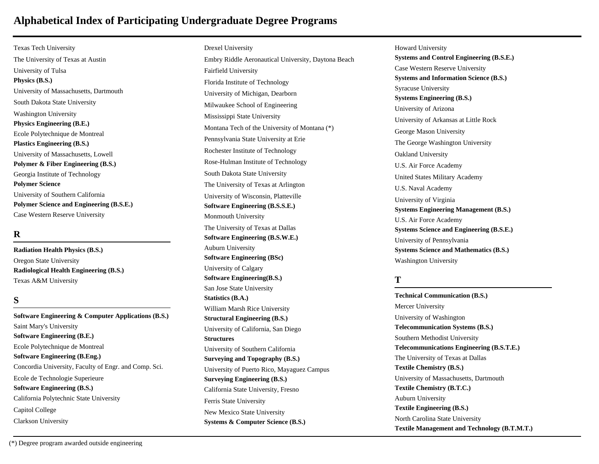Texas Tech University The University of Texas at Austin University of Tulsa **Physics (B.S.)** University of Massachusetts, Dartmouth South Dakota State University Washington University **Physics Engineering (B.E.)** Ecole Polytechnique de Montreal **Plastics Engineering (B.S.)** University of Massachusetts, Lowell **Polymer & Fiber Engineering (B.S.)** Georgia Institute of Technology **Polymer Science** University of Southern California **Polymer Science and Engineering (B.S.E.)** Case Western Reserve University

### **R**

**Radiation Health Physics (B.S.)** Oregon State University **Radiological Health Engineering (B.S.)** Texas A&M University

#### **S**

**Software Engineering & Computer Applications (B.S.)** Saint Mary's University **Software Engineering (B.E.)** Ecole Polytechnique de Montreal **Software Engineering (B.Eng.)** Concordia University, Faculty of Engr. and Comp. Sci. Ecole de Technologie Superieure **Software Engineering (B.S.)** California Polytechnic State University Capitol College Clarkson University

Drexel University Embry Riddle Aeronautical University, Daytona Beach Fairfield University Florida Institute of Technology University of Michigan, Dearborn Milwaukee School of Engineering Mississippi State University Montana Tech of the University of Montana (\*) Pennsylvania State University at Erie Rochester Institute of Technology Rose-Hulman Institute of Technology South Dakota State University The University of Texas at Arlington University of Wisconsin, Platteville **Software Engineering (B.S.S.E.)** Monmouth University The University of Texas at Dallas **Software Engineering (B.S.W.E.)** Auburn University **Software Engineering (BSc)** University of Calgary **Software Engineering(B.S.)** San Jose State University **Statistics (B.A.)** William Marsh Rice University **Structural Engineering (B.S.)** University of California, San Diego **Structures** University of Southern California **Surveying and Topography (B.S.)** University of Puerto Rico, Mayaguez Campus **Surveying Engineering (B.S.)** California State University, Fresno Ferris State University New Mexico State University **Systems & Computer Science (B.S.)**

Howard University **Systems and Control Engineering (B.S.E.)** Case Western Reserve University **Systems and Information Science (B.S.)** Syracuse University **Systems Engineering (B.S.)** University of Arizona University of Arkansas at Little Rock George Mason University The George Washington University Oakland University U.S. Air Force Academy United States Military Academy U.S. Naval Academy University of Virginia **Systems Engineering Management (B.S.)** U.S. Air Force Academy **Systems Science and Engineering (B.S.E.)** University of Pennsylvania **Systems Science and Mathematics (B.S.)** Washington University

#### **T**

**Technical Communication (B.S.)** Mercer University University of Washington **Telecommunication Systems (B.S.)** Southern Methodist University **Telecommunications Engineering (B.S.T.E.)** The University of Texas at Dallas **Textile Chemistry (B.S.)** University of Massachusetts, Dartmouth **Textile Chemistry (B.T.C.)** Auburn University **Textile Engineering (B.S.)** North Carolina State University **Textile Management and Technology (B.T.M.T.)**